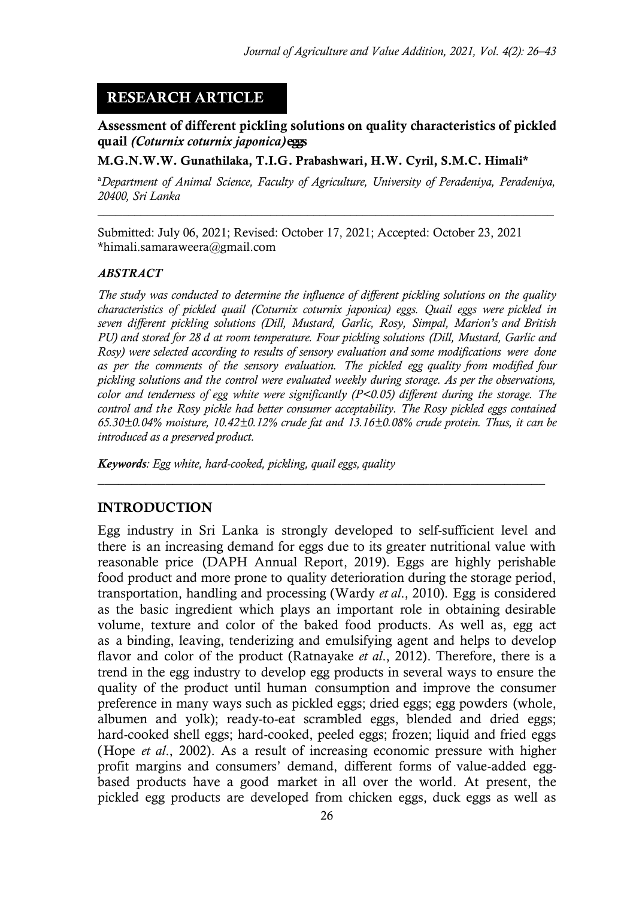# **RESEARCH ARTICLE**

**Assessment of different pickling solutions on quality characteristics of pickled quail** *(Coturnix coturnix japonica)***eggs**

**M.G.N.W.W. Gunathilaka, T.I.G. Prabashwari, H.W. Cyril, S.M.C. Himali\***

<sup>a</sup>*Department of Animal Science, Faculty of Agriculture, University of Peradeniya, Peradeniya, 20400, Sri Lanka \_\_\_\_\_\_\_\_\_\_\_\_\_\_\_\_\_\_\_\_\_\_\_\_\_\_\_\_\_\_\_\_\_\_\_\_\_\_\_\_\_\_\_\_\_\_\_\_\_\_\_\_\_\_\_\_\_\_\_\_\_\_\_\_\_\_\_\_\_\_\_\_\_\_*

Submitted: July 06, 2021; Revised: October 17, 2021; Accepted: October 23, 2021 \*himali.samaraweera@gmail.com

#### *ABSTRACT*

*The study was conducted to determine the influence of different pickling solutions on the quality characteristics of pickled quail (Coturnix coturnix japonica) eggs. Quail eggs were pickled in seven different pickling solutions (Dill, Mustard, Garlic, Rosy, Simpal, Marion's and British PU) and stored for 28 d at room temperature. Four pickling solutions (Dill, Mustard, Garlic and Rosy) were selected according to results of sensory evaluation and some modifications were done as per the comments of the sensory evaluation. The pickled egg quality from modified four pickling solutions and the control were evaluated weekly during storage. As per the observations, color and tenderness of egg white were significantly (P<0.05) different during the storage. The control and the Rosy pickle had better consumer acceptability. The Rosy pickled eggs contained 65.30±0.04% moisture, 10.42±0.12% crude fat and 13.16±0.08% crude protein. Thus, it can be introduced as a preserved product.* 

*\_\_\_\_\_\_\_\_\_\_\_\_\_\_\_\_\_\_\_\_\_\_\_\_\_\_\_\_\_\_\_\_\_\_\_\_\_\_\_\_\_\_\_\_\_\_\_\_\_\_\_\_\_\_\_\_\_\_\_\_\_\_\_\_\_\_*

*Keywords: Egg white, hard-cooked, pickling, quail eggs, quality*

#### **INTRODUCTION**

Egg industry in Sri Lanka is strongly developed to self-sufficient level and there is an increasing demand for eggs due to its greater nutritional value with reasonable price (DAPH Annual Report, 2019). Eggs are highly perishable food product and more prone to quality deterioration during the storage period, transportation, handling and processing (Wardy *et al*., 2010). Egg is considered as the basic ingredient which plays an important role in obtaining desirable volume, texture and color of the baked food products. As well as, egg act as a binding, leaving, tenderizing and emulsifying agent and helps to develop flavor and color of the product (Ratnayake *et al*., 2012). Therefore, there is a trend in the egg industry to develop egg products in several ways to ensure the quality of the product until human consumption and improve the consumer preference in many ways such as pickled eggs; dried eggs; egg powders (whole, albumen and yolk); ready-to-eat scrambled eggs, blended and dried eggs; hard-cooked shell eggs; hard-cooked, peeled eggs; frozen; liquid and fried eggs (Hope *et al*., 2002). As a result of increasing economic pressure with higher profit margins and consumers' demand, different forms of value-added eggbased products have a good market in all over the world. At present, the pickled egg products are developed from chicken eggs, duck eggs as well as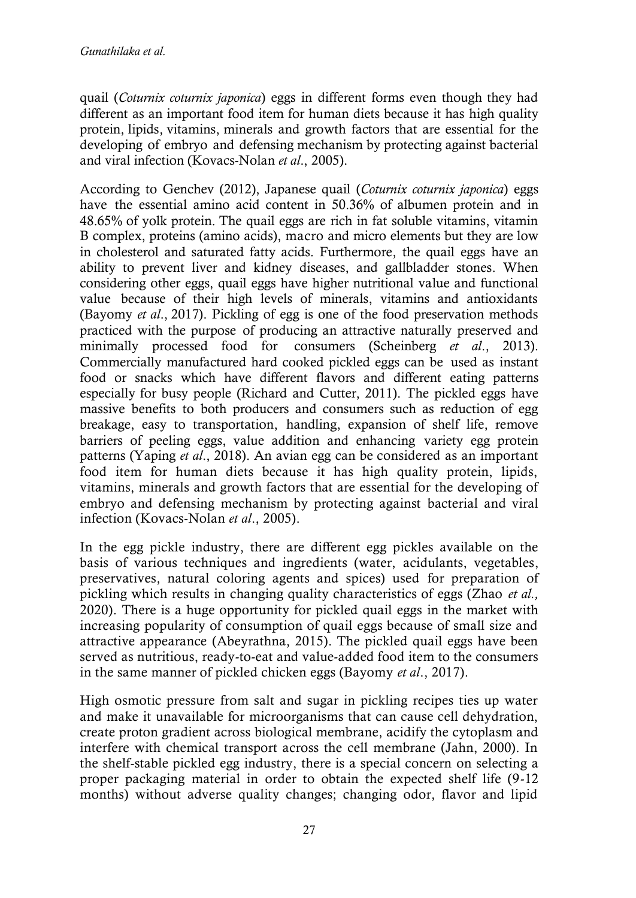quail (*Coturnix coturnix japonica*) eggs in different forms even though they had different as an important food item for human diets because it has high quality protein, lipids, vitamins, minerals and growth factors that are essential for the developing of embryo and defensing mechanism by protecting against bacterial and viral infection (Kovacs-Nolan *et al*., 2005).

According to Genchev (2012), Japanese quail (*Coturnix coturnix japonica*) eggs have the essential amino acid content in 50.36% of albumen protein and in 48.65% of yolk protein. The quail eggs are rich in fat soluble vitamins, vitamin B complex, proteins (amino acids), macro and micro elements but they are low in cholesterol and saturated fatty acids. Furthermore, the quail eggs have an ability to prevent liver and kidney diseases, and gallbladder stones. When considering other eggs, quail eggs have higher nutritional value and functional value because of their high levels of minerals, vitamins and antioxidants (Bayomy *et al*., 2017). Pickling of egg is one of the food preservation methods practiced with the purpose of producing an attractive naturally preserved and minimally processed food for consumers (Scheinberg *et al*., 2013). Commercially manufactured hard cooked pickled eggs can be used as instant food or snacks which have different flavors and different eating patterns especially for busy people (Richard and Cutter, 2011). The pickled eggs have massive benefits to both producers and consumers such as reduction of egg breakage, easy to transportation, handling, expansion of shelf life, remove barriers of peeling eggs, value addition and enhancing variety egg protein patterns (Yaping *et al*., 2018). An avian egg can be considered as an important food item for human diets because it has high quality protein, lipids, vitamins, minerals and growth factors that are essential for the developing of embryo and defensing mechanism by protecting against bacterial and viral infection (Kovacs-Nolan *et al*., 2005).

In the egg pickle industry, there are different egg pickles available on the basis of various techniques and ingredients (water, acidulants, vegetables, preservatives, natural coloring agents and spices) used for preparation of pickling which results in changing quality characteristics of eggs (Zhao *et al.,* 2020). There is a huge opportunity for pickled quail eggs in the market with increasing popularity of consumption of quail eggs because of small size and attractive appearance (Abeyrathna, 2015). The pickled quail eggs have been served as nutritious, ready-to-eat and value-added food item to the consumers in the same manner of pickled chicken eggs (Bayomy *et al*., 2017).

High osmotic pressure from salt and sugar in pickling recipes ties up water and make it unavailable for microorganisms that can cause cell dehydration, create proton gradient across biological membrane, acidify the cytoplasm and interfere with chemical transport across the cell membrane (Jahn, 2000). In the shelf-stable pickled egg industry, there is a special concern on selecting a proper packaging material in order to obtain the expected shelf life (9-12 months) without adverse quality changes; changing odor, flavor and lipid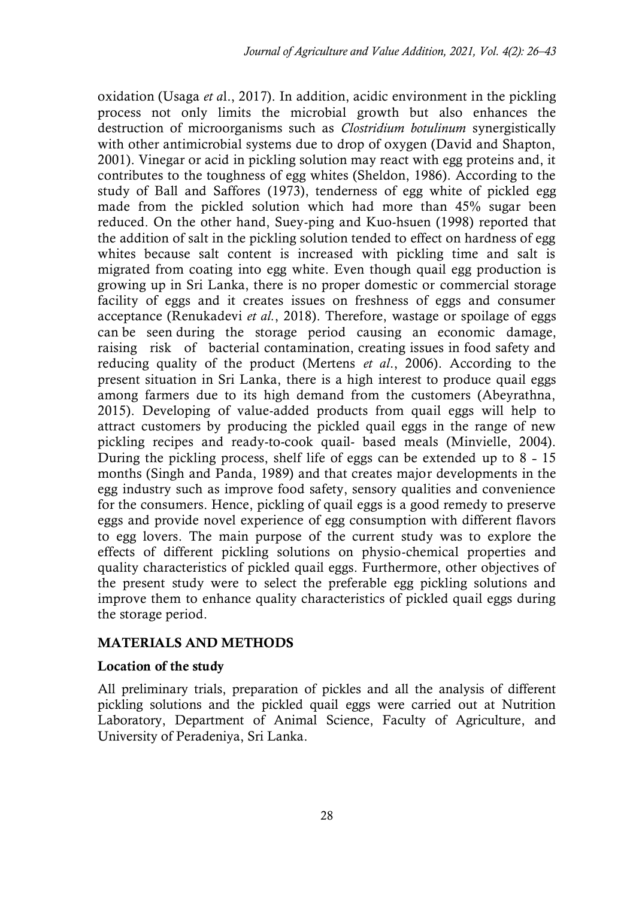oxidation (Usaga *et a*l., 2017). In addition, acidic environment in the pickling process not only limits the microbial growth but also enhances the destruction of microorganisms such as *Clostridium botulinum* synergistically with other antimicrobial systems due to drop of oxygen (David and Shapton, 2001). Vinegar or acid in pickling solution may react with egg proteins and, it contributes to the toughness of egg whites (Sheldon, 1986). According to the study of Ball and Saffores (1973), tenderness of egg white of pickled egg made from the pickled solution which had more than 45% sugar been reduced. On the other hand, Suey-ping and Kuo-hsuen (1998) reported that the addition of salt in the pickling solution tended to effect on hardness of egg whites because salt content is increased with pickling time and salt is migrated from coating into egg white. Even though quail egg production is growing up in Sri Lanka, there is no proper domestic or commercial storage facility of eggs and it creates issues on freshness of eggs and consumer acceptance (Renukadevi *et al.*, 2018). Therefore, wastage or spoilage of eggs can be seen during the storage period causing an economic damage, raising risk of bacterial contamination, creating issues in food safety and reducing quality of the product (Mertens *et al*., 2006). According to the present situation in Sri Lanka, there is a high interest to produce quail eggs among farmers due to its high demand from the customers (Abeyrathna, 2015). Developing of value-added products from quail eggs will help to attract customers by producing the pickled quail eggs in the range of new pickling recipes and ready-to-cook quail- based meals (Minvielle, 2004). During the pickling process, shelf life of eggs can be extended up to  $8 - 15$ months (Singh and Panda, 1989) and that creates major developments in the egg industry such as improve food safety, sensory qualities and convenience for the consumers. Hence, pickling of quail eggs is a good remedy to preserve eggs and provide novel experience of egg consumption with different flavors to egg lovers. The main purpose of the current study was to explore the effects of different pickling solutions on physio-chemical properties and quality characteristics of pickled quail eggs. Furthermore, other objectives of the present study were to select the preferable egg pickling solutions and improve them to enhance quality characteristics of pickled quail eggs during the storage period.

## **MATERIALS AND METHODS**

#### **Location of the study**

All preliminary trials, preparation of pickles and all the analysis of different pickling solutions and the pickled quail eggs were carried out at Nutrition Laboratory, Department of Animal Science, Faculty of Agriculture, and University of Peradeniya, Sri Lanka.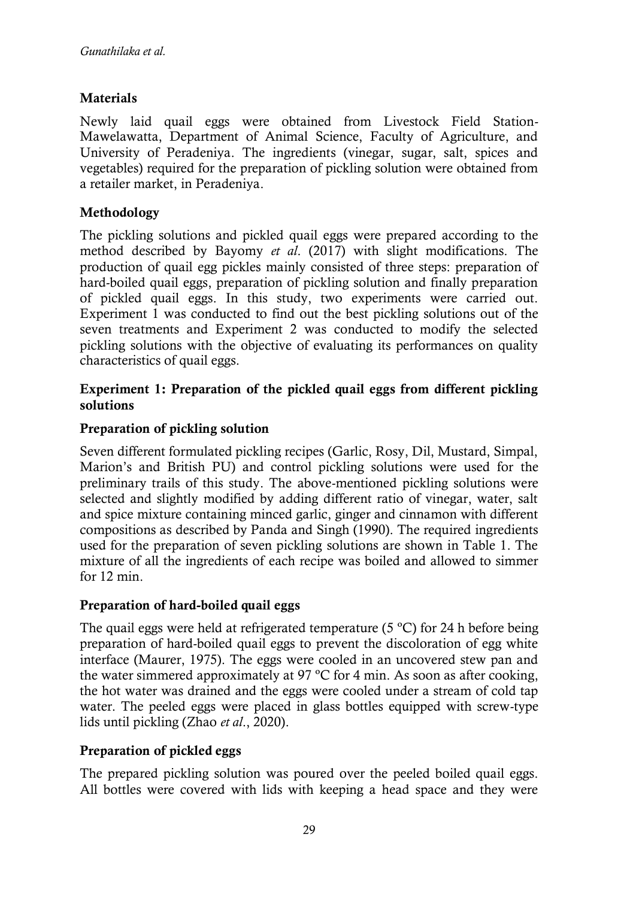# **Materials**

Newly laid quail eggs were obtained from Livestock Field Station-Mawelawatta, Department of Animal Science, Faculty of Agriculture, and University of Peradeniya. The ingredients (vinegar, sugar, salt, spices and vegetables) required for the preparation of pickling solution were obtained from a retailer market, in Peradeniya.

## **Methodology**

The pickling solutions and pickled quail eggs were prepared according to the method described by Bayomy *et al*. (2017) with slight modifications. The production of quail egg pickles mainly consisted of three steps: preparation of hard-boiled quail eggs, preparation of pickling solution and finally preparation of pickled quail eggs. In this study, two experiments were carried out. Experiment 1 was conducted to find out the best pickling solutions out of the seven treatments and Experiment 2 was conducted to modify the selected pickling solutions with the objective of evaluating its performances on quality characteristics of quail eggs.

## **Experiment 1: Preparation of the pickled quail eggs from different pickling solutions**

## **Preparation of pickling solution**

Seven different formulated pickling recipes (Garlic, Rosy, Dil, Mustard, Simpal, Marion's and British PU) and control pickling solutions were used for the preliminary trails of this study. The above-mentioned pickling solutions were selected and slightly modified by adding different ratio of vinegar, water, salt and spice mixture containing minced garlic, ginger and cinnamon with different compositions as described by Panda and Singh (1990). The required ingredients used for the preparation of seven pickling solutions are shown in Table 1. The mixture of all the ingredients of each recipe was boiled and allowed to simmer for 12 min.

## **Preparation of hard-boiled quail eggs**

The quail eggs were held at refrigerated temperature (5  $\degree$ C) for 24 h before being preparation of hard-boiled quail eggs to prevent the discoloration of egg white interface (Maurer, 1975). The eggs were cooled in an uncovered stew pan and the water simmered approximately at 97 ºC for 4 min. As soon as after cooking, the hot water was drained and the eggs were cooled under a stream of cold tap water. The peeled eggs were placed in glass bottles equipped with screw-type lids until pickling (Zhao *et al*., 2020).

## **Preparation of pickled eggs**

The prepared pickling solution was poured over the peeled boiled quail eggs. All bottles were covered with lids with keeping a head space and they were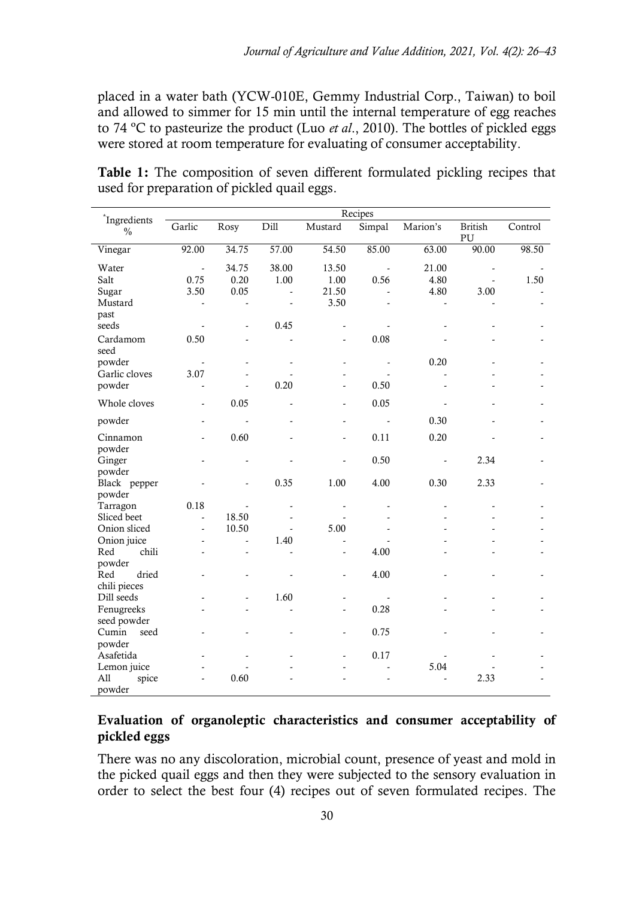placed in a water bath (YCW-010E, Gemmy Industrial Corp., Taiwan) to boil and allowed to simmer for 15 min until the internal temperature of egg reaches to 74 ºC to pasteurize the product (Luo *et al*., 2010). The bottles of pickled eggs were stored at room temperature for evaluating of consumer acceptability.

|                               |                          | Recipes                  |                          |                          |                          |                |                          |         |  |
|-------------------------------|--------------------------|--------------------------|--------------------------|--------------------------|--------------------------|----------------|--------------------------|---------|--|
| *Ingredients<br>$\frac{0}{0}$ | Garlic                   | Rosy                     | Dill                     | Mustard                  | Simpal                   | Marion's       | <b>British</b><br>PU     | Control |  |
| Vinegar                       | 92.00                    | 34.75                    | 57.00                    | 54.50                    | 85.00                    | 63.00          | 90.00                    | 98.50   |  |
| Water                         | $\overline{a}$           | 34.75                    | 38.00                    | 13.50                    | $\overline{\phantom{a}}$ | 21.00          | $\overline{\phantom{a}}$ |         |  |
| Salt                          | 0.75                     | 0.20                     | 1.00                     | 1.00                     | 0.56                     | 4.80           | $\overline{\phantom{a}}$ | 1.50    |  |
| Sugar                         | 3.50                     | 0.05                     | $\overline{\phantom{a}}$ | 21.50                    | $\blacksquare$           | 4.80           | 3.00                     |         |  |
| Mustard                       | $\overline{a}$           | $\overline{a}$           | $\overline{a}$           | 3.50                     | ÷.                       | $\overline{a}$ |                          |         |  |
| past                          |                          |                          |                          |                          |                          |                |                          |         |  |
| seeds                         |                          | $\overline{\phantom{a}}$ | 0.45                     | $\overline{\phantom{0}}$ |                          |                |                          |         |  |
| Cardamom<br>seed              | 0.50                     | $\overline{a}$           |                          | $\overline{a}$           | 0.08                     |                |                          |         |  |
| powder                        | $\frac{1}{2}$            |                          |                          | L,                       | $\frac{1}{2}$            | 0.20           |                          |         |  |
| Garlic cloves                 | 3.07                     | $\overline{a}$           |                          | $\overline{\phantom{0}}$ | $\overline{a}$           |                |                          |         |  |
| powder                        |                          | $\overline{a}$           | 0.20                     | $\overline{\phantom{0}}$ | 0.50                     |                |                          |         |  |
| Whole cloves                  | $\overline{a}$           | 0.05                     |                          | ٠                        | 0.05                     |                |                          |         |  |
| powder                        | ÷,                       | $\overline{a}$           |                          | ÷.                       | $\ddot{\phantom{a}}$     | 0.30           |                          |         |  |
| Cinnamon                      |                          | 0.60                     |                          | $\overline{\phantom{0}}$ | 0.11                     | 0.20           |                          |         |  |
| powder<br>Ginger              |                          | Ĭ.                       |                          | $\overline{\phantom{0}}$ | 0.50                     | $\overline{a}$ | 2.34                     |         |  |
| powder<br>Black pepper        |                          |                          | 0.35                     | 1.00                     | 4.00                     | 0.30           | 2.33                     |         |  |
| powder                        |                          | $\frac{1}{2}$            |                          |                          |                          |                |                          |         |  |
| Tarragon                      | 0.18                     | $\overline{a}$           |                          | $\overline{a}$           |                          |                |                          |         |  |
| Sliced beet                   | $\overline{\phantom{a}}$ | 18.50                    | $\overline{\phantom{a}}$ | $\overline{a}$           |                          |                |                          |         |  |
| Onion sliced                  | $\overline{a}$           | 10.50                    | ÷.                       | 5.00                     |                          |                |                          |         |  |
| Onion juice                   | $\overline{a}$           | $\overline{a}$           | 1.40                     |                          |                          |                |                          |         |  |
| chili<br>Red                  | $\overline{a}$           | L,                       |                          | $\overline{a}$           | 4.00                     |                |                          |         |  |
| powder                        |                          |                          |                          |                          |                          |                |                          |         |  |
| dried<br>Red                  | $\overline{a}$           | $\frac{1}{2}$            |                          | $\overline{\phantom{0}}$ | 4.00                     |                |                          |         |  |
| chili pieces                  |                          |                          | 1.60                     |                          |                          |                |                          |         |  |
| Dill seeds                    |                          | $\overline{a}$<br>÷.     | ÷.                       | $\overline{a}$           | 0.28                     |                |                          |         |  |
| Fenugreeks<br>seed powder     |                          |                          |                          |                          |                          |                |                          |         |  |
| Cumin<br>seed                 |                          |                          |                          |                          | 0.75                     |                |                          |         |  |
| powder                        |                          |                          |                          |                          |                          |                |                          |         |  |
| Asafetida                     |                          |                          |                          | ٠                        | 0.17                     |                |                          |         |  |
| Lemon juice                   |                          |                          |                          |                          |                          | 5.04           |                          |         |  |
| A11<br>spice                  | $\frac{1}{2}$            | 0.60                     |                          |                          |                          |                | 2.33                     |         |  |
| powder                        |                          |                          |                          |                          |                          |                |                          |         |  |

**Table 1:** The composition of seven different formulated pickling recipes that used for preparation of pickled quail eggs.

## **Evaluation of organoleptic characteristics and consumer acceptability of pickled eggs**

There was no any discoloration, microbial count, presence of yeast and mold in the picked quail eggs and then they were subjected to the sensory evaluation in order to select the best four (4) recipes out of seven formulated recipes. The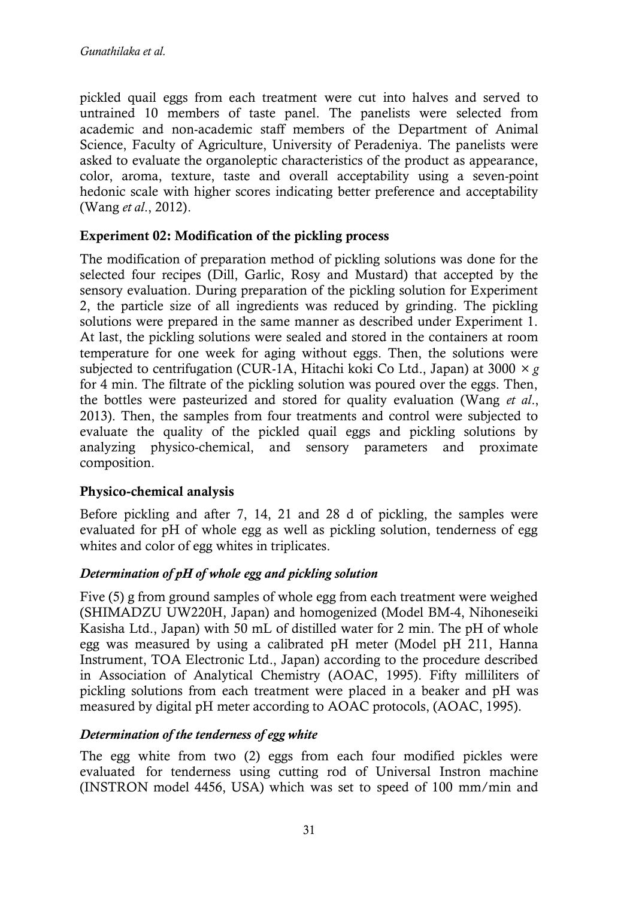pickled quail eggs from each treatment were cut into halves and served to untrained 10 members of taste panel. The panelists were selected from academic and non-academic staff members of the Department of Animal Science, Faculty of Agriculture, University of Peradeniya. The panelists were asked to evaluate the organoleptic characteristics of the product as appearance, color, aroma, texture, taste and overall acceptability using a seven-point hedonic scale with higher scores indicating better preference and acceptability (Wang *et al*., 2012).

## **Experiment 02: Modification of the pickling process**

The modification of preparation method of pickling solutions was done for the selected four recipes (Dill, Garlic, Rosy and Mustard) that accepted by the sensory evaluation. During preparation of the pickling solution for Experiment 2, the particle size of all ingredients was reduced by grinding. The pickling solutions were prepared in the same manner as described under Experiment 1. At last, the pickling solutions were sealed and stored in the containers at room temperature for one week for aging without eggs. Then, the solutions were subjected to centrifugation (CUR-1A, Hitachi koki Co Ltd., Japan) at 3000 *× g*  for 4 min. The filtrate of the pickling solution was poured over the eggs. Then, the bottles were pasteurized and stored for quality evaluation (Wang *et al*., 2013). Then, the samples from four treatments and control were subjected to evaluate the quality of the pickled quail eggs and pickling solutions by analyzing physico-chemical, and sensory parameters and proximate composition.

## **Physico-chemical analysis**

Before pickling and after 7, 14, 21 and 28 d of pickling, the samples were evaluated for pH of whole egg as well as pickling solution, tenderness of egg whites and color of egg whites in triplicates.

## *Determination of pH of whole egg and pickling solution*

Five (5) g from ground samples of whole egg from each treatment were weighed (SHIMADZU UW220H, Japan) and homogenized (Model BM-4, Nihoneseiki Kasisha Ltd., Japan) with 50 mL of distilled water for 2 min. The pH of whole egg was measured by using a calibrated pH meter (Model pH 211, Hanna Instrument, TOA Electronic Ltd., Japan) according to the procedure described in Association of Analytical Chemistry (AOAC, 1995). Fifty milliliters of pickling solutions from each treatment were placed in a beaker and pH was measured by digital pH meter according to AOAC protocols, (AOAC, 1995).

## *Determination of the tenderness of egg white*

The egg white from two (2) eggs from each four modified pickles were evaluated for tenderness using cutting rod of Universal Instron machine (INSTRON model 4456, USA) which was set to speed of 100 mm/min and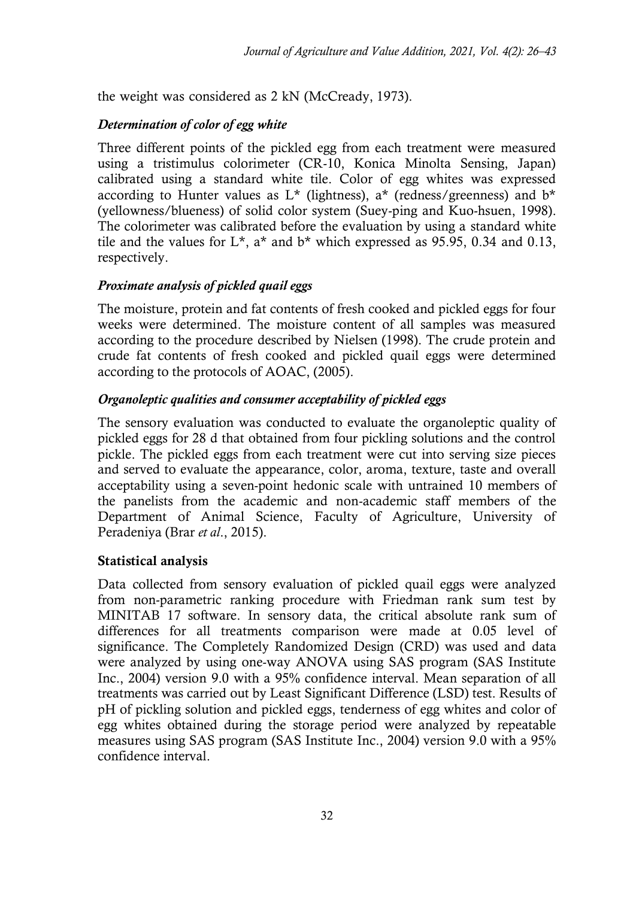the weight was considered as 2 kN (McCready, 1973).

## *Determination of color of egg white*

Three different points of the pickled egg from each treatment were measured using a tristimulus colorimeter (CR-10, Konica Minolta Sensing, Japan) calibrated using a standard white tile. Color of egg whites was expressed according to Hunter values as  $L^*$  (lightness),  $a^*$  (redness/greenness) and  $b^*$ (yellowness/blueness) of solid color system (Suey-ping and Kuo-hsuen, 1998). The colorimeter was calibrated before the evaluation by using a standard white tile and the values for  $L^*$ ,  $a^*$  and  $b^*$  which expressed as 95.95, 0.34 and 0.13, respectively.

# *Proximate analysis of pickled quail eggs*

The moisture, protein and fat contents of fresh cooked and pickled eggs for four weeks were determined. The moisture content of all samples was measured according to the procedure described by Nielsen (1998). The crude protein and crude fat contents of fresh cooked and pickled quail eggs were determined according to the protocols of AOAC, (2005).

## *Organoleptic qualities and consumer acceptability of pickled eggs*

The sensory evaluation was conducted to evaluate the organoleptic quality of pickled eggs for 28 d that obtained from four pickling solutions and the control pickle. The pickled eggs from each treatment were cut into serving size pieces and served to evaluate the appearance, color, aroma, texture, taste and overall acceptability using a seven-point hedonic scale with untrained 10 members of the panelists from the academic and non-academic staff members of the Department of Animal Science, Faculty of Agriculture, University of Peradeniya (Brar *et al*., 2015).

## **Statistical analysis**

Data collected from sensory evaluation of pickled quail eggs were analyzed from non-parametric ranking procedure with Friedman rank sum test by MINITAB 17 software. In sensory data, the critical absolute rank sum of differences for all treatments comparison were made at 0.05 level of significance. The Completely Randomized Design (CRD) was used and data were analyzed by using one-way ANOVA using SAS program (SAS Institute Inc., 2004) version 9.0 with a 95% confidence interval. Mean separation of all treatments was carried out by Least Significant Difference (LSD) test. Results of pH of pickling solution and pickled eggs, tenderness of egg whites and color of egg whites obtained during the storage period were analyzed by repeatable measures using SAS program (SAS Institute Inc., 2004) version 9.0 with a 95% confidence interval.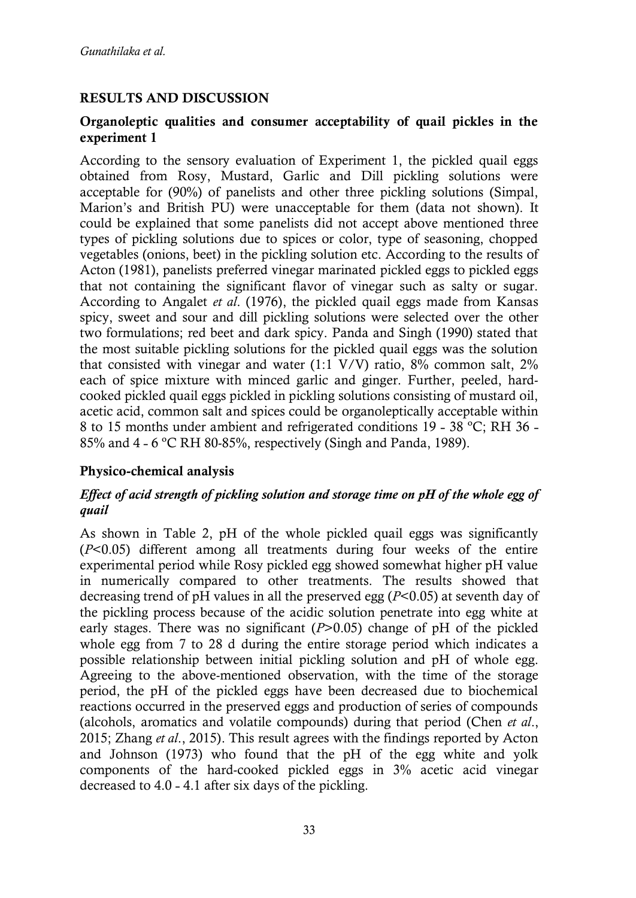## **RESULTS AND DISCUSSION**

## **Organoleptic qualities and consumer acceptability of quail pickles in the experiment 1**

According to the sensory evaluation of Experiment 1, the pickled quail eggs obtained from Rosy, Mustard, Garlic and Dill pickling solutions were acceptable for (90%) of panelists and other three pickling solutions (Simpal, Marion's and British PU) were unacceptable for them (data not shown). It could be explained that some panelists did not accept above mentioned three types of pickling solutions due to spices or color, type of seasoning, chopped vegetables (onions, beet) in the pickling solution etc. According to the results of Acton (1981), panelists preferred vinegar marinated pickled eggs to pickled eggs that not containing the significant flavor of vinegar such as salty or sugar. According to Angalet *et al*. (1976), the pickled quail eggs made from Kansas spicy, sweet and sour and dill pickling solutions were selected over the other two formulations; red beet and dark spicy. Panda and Singh (1990) stated that the most suitable pickling solutions for the pickled quail eggs was the solution that consisted with vinegar and water  $(1.1 \text{ V/V})$  ratio,  $8\%$  common salt,  $2\%$ each of spice mixture with minced garlic and ginger. Further, peeled, hardcooked pickled quail eggs pickled in pickling solutions consisting of mustard oil, acetic acid, common salt and spices could be organoleptically acceptable within 8 to 15 months under ambient and refrigerated conditions  $19 - 38$  °C; RH 36 – 85% and 4 - 6 °C RH 80-85%, respectively (Singh and Panda, 1989).

## **Physico-chemical analysis**

## *Effect of acid strength of pickling solution and storage time on pH of the whole egg of quail*

As shown in Table 2, pH of the whole pickled quail eggs was significantly (*P*<0.05) different among all treatments during four weeks of the entire experimental period while Rosy pickled egg showed somewhat higher pH value in numerically compared to other treatments. The results showed that decreasing trend of pH values in all the preserved egg (*P*<0.05) at seventh day of the pickling process because of the acidic solution penetrate into egg white at early stages. There was no significant (*P*>0.05) change of pH of the pickled whole egg from 7 to 28 d during the entire storage period which indicates a possible relationship between initial pickling solution and pH of whole egg. Agreeing to the above-mentioned observation, with the time of the storage period, the pH of the pickled eggs have been decreased due to biochemical reactions occurred in the preserved eggs and production of series of compounds (alcohols, aromatics and volatile compounds) during that period (Chen *et al*., 2015; Zhang *et al*., 2015). This result agrees with the findings reported by Acton and Johnson (1973) who found that the pH of the egg white and yolk components of the hard-cooked pickled eggs in 3% acetic acid vinegar decreased to  $4.0 - 4.1$  after six days of the pickling.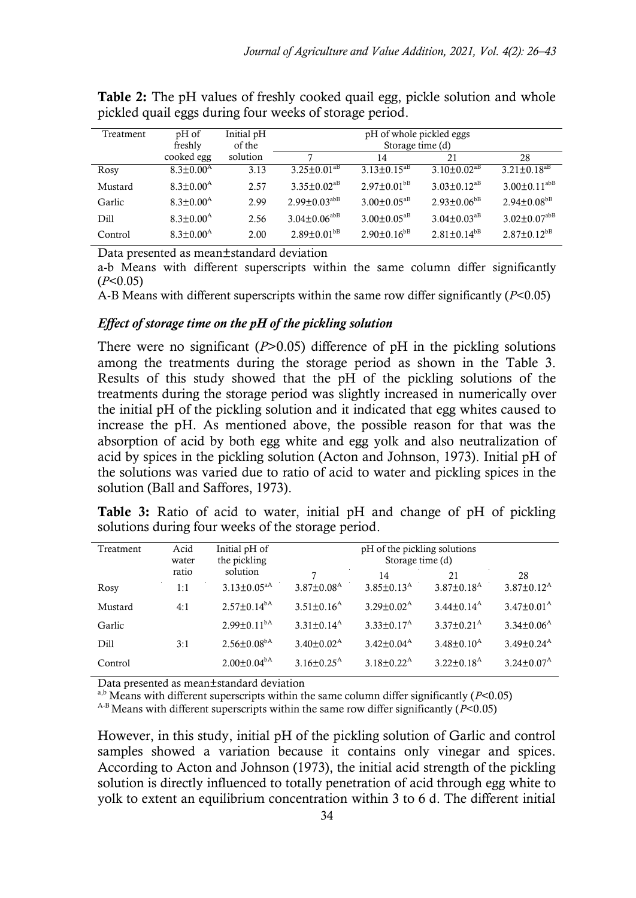| Treatment | pH of<br>freshly        | Initial pH<br>of the | pH of whole pickled eggs<br>Storage time (d) |                      |                             |                               |
|-----------|-------------------------|----------------------|----------------------------------------------|----------------------|-----------------------------|-------------------------------|
|           | cooked egg              | solution             |                                              | 14                   | 21                          | 28                            |
| Rosy      | $8.3 + 0.00^{\rm A}$    | 3.13                 | $3.25 \pm 0.01$ <sup>aB</sup>                | $3.13 \pm 0.15^{aB}$ | $3.10+0.02^{aB}$            | $3.21 \pm 0.18$ <sup>aB</sup> |
| Mustard   | $8.3 + 0.00^{\rm A}$    | 2.57                 | $3.35 \pm 0.02$ <sup>aB</sup>                | $2.97 \pm 0.01^{b}$  | $3.03 + 0.12^{aB}$          | $3.00+0.11^{abB}$             |
| Garlic    | $8.3 + 0.00^{\text{A}}$ | 2.99                 | $2.99 + 0.03^{ab}$                           | $3.00+0.05^{aB}$     | $2.93 + 0.06^{b}$           | $2.94 + 0.08$ <sup>bB</sup>   |
| Di11      | $8.3 + 0.00^{\rm A}$    | 2.56                 | $3.04 \pm 0.06^{abB}$                        | $3.00+0.05^{aB}$     | $3.04 + 0.03^{a}$           | $3.02 \pm 0.07^{abB}$         |
| Control   | $8.3 + 0.00^{\text{A}}$ | 2.00                 | $2.89 + 0.01$ <sup>bB</sup>                  | $2.90+0.16^{b}$      | $2.81 + 0.14$ <sup>bB</sup> | $2.87+0.12^{b}$               |

**Table 2:** The pH values of freshly cooked quail egg, pickle solution and whole pickled quail eggs during four weeks of storage period.

Data presented as mean±standard deviation

a-b Means with different superscripts within the same column differ significantly (*P*<0.05)

A-B Means with different superscripts within the same row differ significantly (*P*<0.05)

#### *Effect of storage time on the pH of the pickling solution*

There were no significant (*P*>0.05) difference of pH in the pickling solutions among the treatments during the storage period as shown in the Table 3. Results of this study showed that the pH of the pickling solutions of the treatments during the storage period was slightly increased in numerically over the initial pH of the pickling solution and it indicated that egg whites caused to increase the pH. As mentioned above, the possible reason for that was the absorption of acid by both egg white and egg yolk and also neutralization of acid by spices in the pickling solution (Acton and Johnson, 1973). Initial pH of the solutions was varied due to ratio of acid to water and pickling spices in the solution (Ball and Saffores, 1973).

**Table 3:** Ratio of acid to water, initial pH and change of pH of pickling solutions during four weeks of the storage period.

| Treatment | Acid<br>water | Initial pH of<br>the pickling | pH of the pickling solutions<br>Storage time (d) |                          |                              |                            |  |
|-----------|---------------|-------------------------------|--------------------------------------------------|--------------------------|------------------------------|----------------------------|--|
| ratio     |               | solution                      | 7                                                | 14                       | 21                           | 28                         |  |
| Rosy      | 1:1           | $3.13 \pm 0.05$ <sup>aA</sup> | $3.87+0.08A$                                     | $3.85+0.13A$             | $3.87+0.18A$                 | $3.87+0.12^{\rm A}$        |  |
| Mustard   | 4:1           | $2.57 \pm 0.14^{\text{bA}}$   | $3.51+0.16^{A}$                                  | $3.29 + 0.02^{\text{A}}$ | $3.44+0.14A$                 | $3.47 \pm 0.01^{\text{A}}$ |  |
| Garlic    |               | $2.99 \pm 0.11^{bA}$          | $3.31 + 0.14^{\rm A}$                            | $3.33 \pm 0.17^{\rm A}$  | $3.37+0.21^{\rm A}$          | $3.34+0.06^{A}$            |  |
| Dill      | 3:1           | $2.56 \pm 0.08^{\rm bA}$      | $3.40+0.02^{\rm A}$                              | $3.42 + 0.04^{\rm A}$    | $3.48 + 0.10A$               | $3.49 + 0.24^{\text{A}}$   |  |
| Control   |               | $2.00 \pm 0.04^{\rm bA}$      | $3.16 + 0.25^{\text{A}}$                         | $3.18 \pm 0.22^{\rm A}$  | $3.22 \pm 0.18$ <sup>A</sup> | $3.24 \pm 0.07^{\rm A}$    |  |

Data presented as mean±standard deviation

 $a,b$  Means with different superscripts within the same column differ significantly ( $P < 0.05$ )

A-B Means with different superscripts within the same row differ significantly (*P*<0.05)

However, in this study, initial pH of the pickling solution of Garlic and control samples showed a variation because it contains only vinegar and spices. According to Acton and Johnson (1973), the initial acid strength of the pickling solution is directly influenced to totally penetration of acid through egg white to yolk to extent an equilibrium concentration within 3 to 6 d. The different initial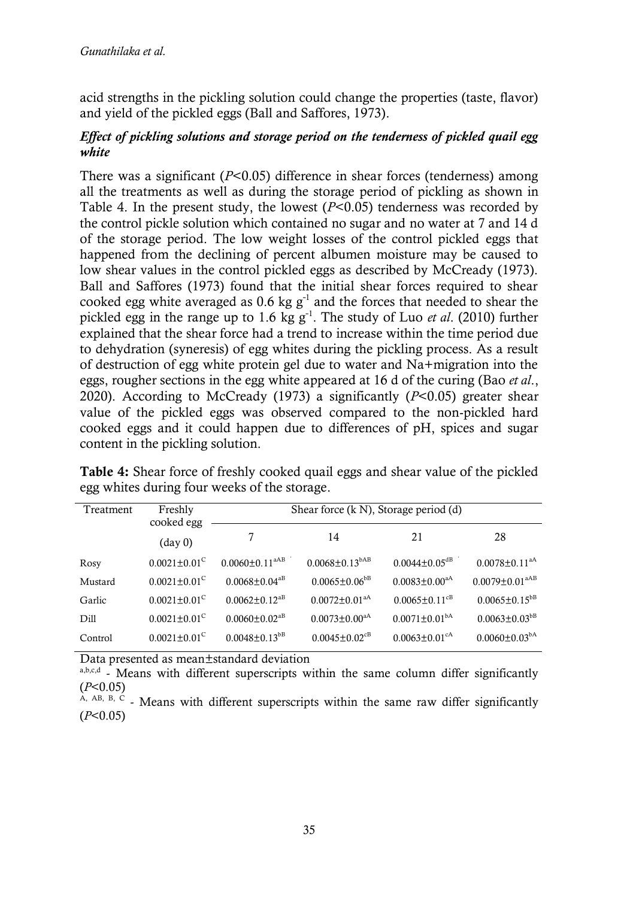acid strengths in the pickling solution could change the properties (taste, flavor) and yield of the pickled eggs (Ball and Saffores, 1973).

### *Effect of pickling solutions and storage period on the tenderness of pickled quail egg white*

There was a significant (*P*<0.05) difference in shear forces (tenderness) among all the treatments as well as during the storage period of pickling as shown in Table 4. In the present study, the lowest (*P*<0.05) tenderness was recorded by the control pickle solution which contained no sugar and no water at 7 and 14 d of the storage period. The low weight losses of the control pickled eggs that happened from the declining of percent albumen moisture may be caused to low shear values in the control pickled eggs as described by McCready (1973). Ball and Saffores (1973) found that the initial shear forces required to shear cooked egg white averaged as  $0.6$  kg  $g^{-1}$  and the forces that needed to shear the pickled egg in the range up to 1.6 kg g<sup>-1</sup>. The study of Luo *et al.* (2010) further explained that the shear force had a trend to increase within the time period due to dehydration (syneresis) of egg whites during the pickling process. As a result of destruction of egg white protein gel due to water and Na+migration into the eggs, rougher sections in the egg white appeared at 16 d of the curing (Bao *et al*., 2020). According to McCready (1973) a significantly (*P*<0.05) greater shear value of the pickled eggs was observed compared to the non-pickled hard cooked eggs and it could happen due to differences of pH, spices and sugar content in the pickling solution.

|           |            | egg whites during four weeks of the storage. |  |
|-----------|------------|----------------------------------------------|--|
| Treatment | Freshly    | Shear force $(k N)$ , Storage period $(d)$   |  |
|           | cooked egg |                                              |  |

| <b>Table 4:</b> Shear force of freshly cooked quail eggs and shear value of the pickled |  |  |
|-----------------------------------------------------------------------------------------|--|--|
| egg whites during four weeks of the storage.                                            |  |  |

|         | соокеа едд<br>$(\text{day } 0)$ |                                  | 14                              | 21                              | 28                               |
|---------|---------------------------------|----------------------------------|---------------------------------|---------------------------------|----------------------------------|
| Rosy    | $0.0021 \pm 0.01$ <sup>C</sup>  | $0.0060 \pm 0.11$ <sup>aAB</sup> | $0.0068 \pm 0.13^{\text{bAB}}$  | $0.0044 \pm 0.05^{\rm dB}$      | $0.0078 \pm 0.11$ <sup>aA</sup>  |
| Mustard | $0.0021 \pm 0.01$ <sup>C</sup>  | $0.0068 + 0.04^{a}$              | $0.0065 \pm 0.06^{b}$           | $0.0083 \pm 0.00$ <sup>aA</sup> | $0.0079 \pm 0.01$ <sup>aAB</sup> |
| Garlic  | $0.0021 \pm 0.01$ <sup>C</sup>  | $0.0062 + 0.12$ <sup>aB</sup>    | $0.0072 + 0.014A$               | $0.0065 \pm 0.11^{\text{cb}}$   | $0.0065 \pm 0.15^{b}$            |
| Dill    | $0.0021 \pm 0.01$ <sup>C</sup>  | $0.0060 \pm 0.02$ <sup>aB</sup>  | $0.0073 \pm 0.00^{aA}$          | $0.0071 \pm 0.01bA$             | $0.0063 \pm 0.03^{bB}$           |
| Control | $0.0021 \pm 0.01$ <sup>C</sup>  | $0.0048 + 0.13^{b}$              | $0.0045 \pm 0.02$ <sup>cB</sup> | $0.0063 + 0.01^{\text{cA}}$     | $0.0060 \pm 0.03^{\text{bA}}$    |

Data presented as mean±standard deviation

a,b,c,d - Means with different superscripts within the same column differ significantly (*P*<0.05)

A, AB, B, C - Means with different superscripts within the same raw differ significantly  $(P<0.05)$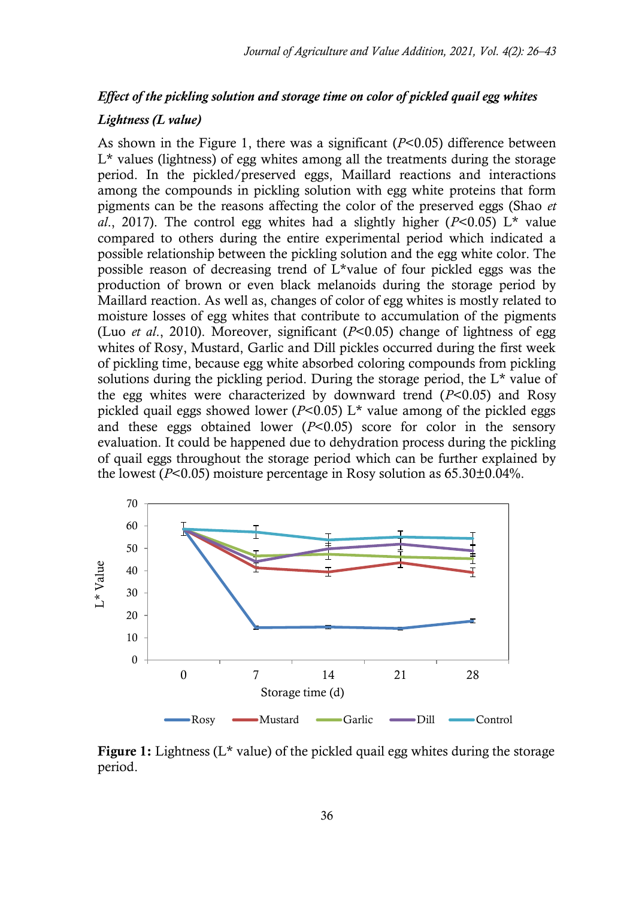#### *Effect of the pickling solution and storage time on color of pickled quail egg whites*

#### *Lightness (L value)*

As shown in the Figure 1, there was a significant (*P*<0.05) difference between  $L^*$  values (lightness) of egg whites among all the treatments during the storage period. In the pickled/preserved eggs, Maillard reactions and interactions among the compounds in pickling solution with egg white proteins that form pigments can be the reasons affecting the color of the preserved eggs (Shao *et al.*, 2017). The control egg whites had a slightly higher ( $P<0.05$ ) L<sup>\*</sup> value compared to others during the entire experimental period which indicated a possible relationship between the pickling solution and the egg white color. The possible reason of decreasing trend of L\*value of four pickled eggs was the production of brown or even black melanoids during the storage period by Maillard reaction. As well as, changes of color of egg whites is mostly related to moisture losses of egg whites that contribute to accumulation of the pigments (Luo *et al*., 2010). Moreover, significant (*P*<0.05) change of lightness of egg whites of Rosy, Mustard, Garlic and Dill pickles occurred during the first week of pickling time, because egg white absorbed coloring compounds from pickling solutions during the pickling period. During the storage period, the  $L^*$  value of the egg whites were characterized by downward trend (*P*<0.05) and Rosy pickled quail eggs showed lower ( $P<0.05$ ) L<sup>\*</sup> value among of the pickled eggs and these eggs obtained lower (*P*<0.05) score for color in the sensory evaluation. It could be happened due to dehydration process during the pickling of quail eggs throughout the storage period which can be further explained by the lowest ( $P<0.05$ ) moisture percentage in Rosy solution as  $65.30\pm0.04\%$ .



**Figure 1:** Lightness (L\* value) of the pickled quail egg whites during the storage period.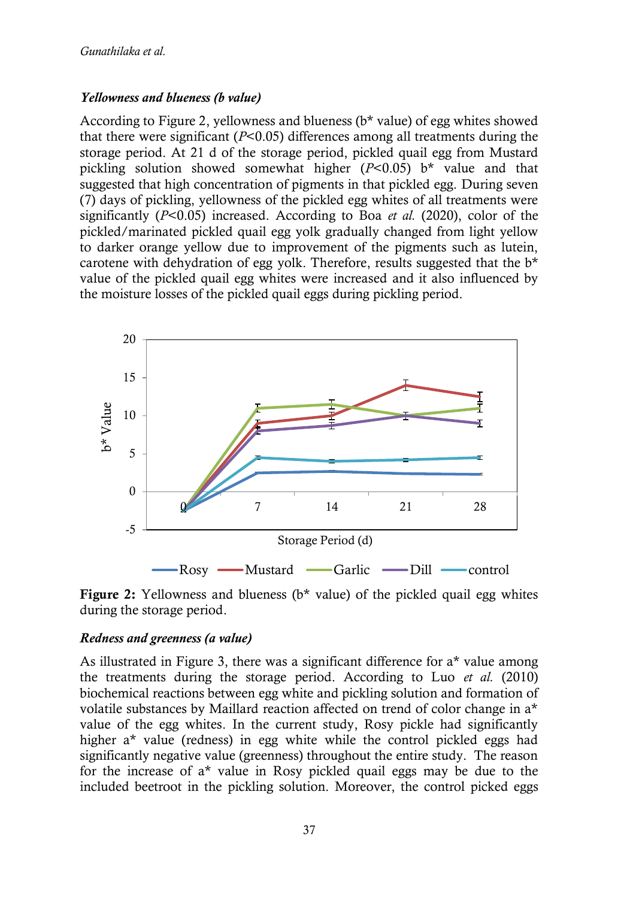### *Yellowness and blueness (b value)*

According to Figure 2, yellowness and blueness (b\* value) of egg whites showed that there were significant (*P*<0.05) differences among all treatments during the storage period. At 21 d of the storage period, pickled quail egg from Mustard pickling solution showed somewhat higher (*P*<0.05) b\* value and that suggested that high concentration of pigments in that pickled egg. During seven (7) days of pickling, yellowness of the pickled egg whites of all treatments were significantly (*P*<0.05) increased. According to Boa *et al.* (2020), color of the pickled/marinated pickled quail egg yolk gradually changed from light yellow to darker orange yellow due to improvement of the pigments such as lutein, carotene with dehydration of egg yolk. Therefore, results suggested that the  $b^*$ value of the pickled quail egg whites were increased and it also influenced by the moisture losses of the pickled quail eggs during pickling period.



**Figure 2:** Yellowness and blueness (b<sup>\*</sup> value) of the pickled quail egg whites during the storage period.

#### *Redness and greenness (a value)*

As illustrated in Figure 3, there was a significant difference for a\* value among the treatments during the storage period. According to Luo *et al.* (2010) biochemical reactions between egg white and pickling solution and formation of volatile substances by Maillard reaction affected on trend of color change in a\* value of the egg whites. In the current study, Rosy pickle had significantly higher a<sup>\*</sup> value (redness) in egg white while the control pickled eggs had significantly negative value (greenness) throughout the entire study. The reason for the increase of a\* value in Rosy pickled quail eggs may be due to the included beetroot in the pickling solution. Moreover, the control picked eggs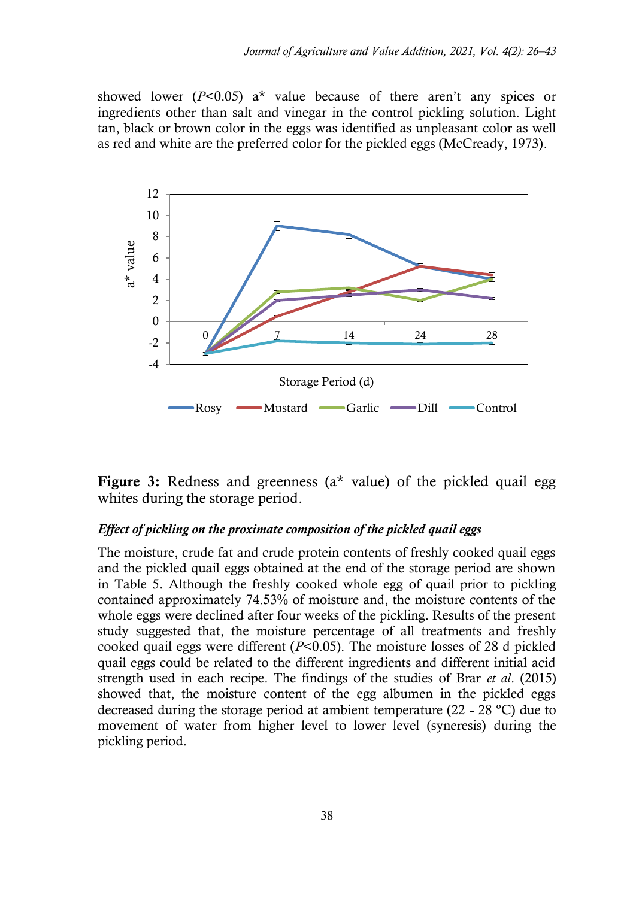showed lower  $(P<0.05)$  a<sup>\*</sup> value because of there aren't any spices or ingredients other than salt and vinegar in the control pickling solution. Light tan, black or brown color in the eggs was identified as unpleasant color as well as red and white are the preferred color for the pickled eggs (McCready, 1973).



Figure 3: Redness and greenness (a<sup>\*</sup> value) of the pickled quail egg whites during the storage period.

#### *Effect of pickling on the proximate composition of the pickled quail eggs*

The moisture, crude fat and crude protein contents of freshly cooked quail eggs and the pickled quail eggs obtained at the end of the storage period are shown in Table 5. Although the freshly cooked whole egg of quail prior to pickling contained approximately 74.53% of moisture and, the moisture contents of the whole eggs were declined after four weeks of the pickling. Results of the present study suggested that, the moisture percentage of all treatments and freshly cooked quail eggs were different (*P*<0.05). The moisture losses of 28 d pickled quail eggs could be related to the different ingredients and different initial acid strength used in each recipe. The findings of the studies of Brar *et al*. (2015) showed that, the moisture content of the egg albumen in the pickled eggs decreased during the storage period at ambient temperature (22 - 28 °C) due to movement of water from higher level to lower level (syneresis) during the pickling period.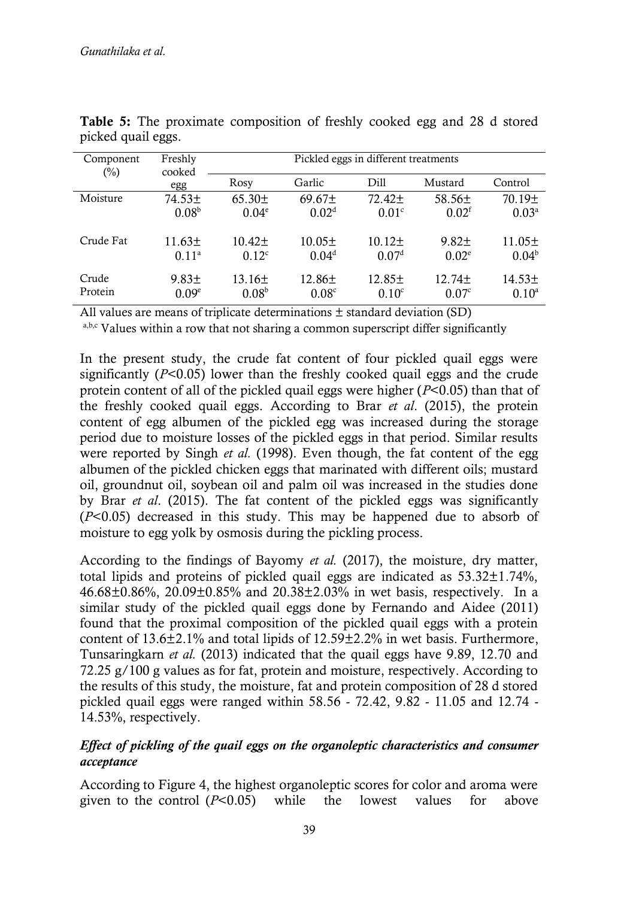| Component<br>$(\%)$ | Freshly<br>cooked | Pickled eggs in different treatments |                    |                   |                   |                |  |
|---------------------|-------------------|--------------------------------------|--------------------|-------------------|-------------------|----------------|--|
|                     | egg               | Rosy                                 | Garlic             | Di11              | Mustard           | Control        |  |
| Moisture            | $74.53+$          | $65.30\pm$                           | 69.67 <sup>±</sup> | $72.42 \pm$       | $58.56\pm$        | 70.19±         |  |
|                     | 0.08 <sup>b</sup> | $0.04^e$                             | 0.02 <sup>d</sup>  | 0.01 <sup>c</sup> | 0.02 <sup>f</sup> | $0.03^a$       |  |
| Crude Fat           | $11.63+$          | $10.42 \pm$                          | $10.05\pm$         | $10.12+$          | $9.82 \pm$        | $11.05\pm$     |  |
|                     | 0.11 <sup>a</sup> | $0.12^{\circ}$                       | $0.04^d$           | 0.07 <sup>d</sup> | $0.02^e$          | $0.04^{\rm b}$ |  |
| Crude               | $9.83 \pm$        | $13.16\pm$                           | $12.86 \pm$        | $12.85+$          | $12.74+$          | $14.53+$       |  |
| Protein             | 0.09 <sup>e</sup> | 0.08 <sup>b</sup>                    | 0.08 <sup>c</sup>  | $0.10^{c}$        | 0.07 <sup>c</sup> | $0.10^a$       |  |

**Table 5:** The proximate composition of freshly cooked egg and 28 d stored picked quail eggs.

All values are means of triplicate determinations ± standard deviation (SD)

a,b,c Values within a row that not sharing a common superscript differ significantly

In the present study, the crude fat content of four pickled quail eggs were significantly (*P*<0.05) lower than the freshly cooked quail eggs and the crude protein content of all of the pickled quail eggs were higher (*P*<0.05) than that of the freshly cooked quail eggs. According to Brar *et al*. (2015), the protein content of egg albumen of the pickled egg was increased during the storage period due to moisture losses of the pickled eggs in that period. Similar results were reported by Singh *et al.* (1998). Even though, the fat content of the egg albumen of the pickled chicken eggs that marinated with different oils; mustard oil, groundnut oil, soybean oil and palm oil was increased in the studies done by Brar *et al*. (2015). The fat content of the pickled eggs was significantly (*P*<0.05) decreased in this study. This may be happened due to absorb of moisture to egg yolk by osmosis during the pickling process.

According to the findings of Bayomy *et al.* (2017), the moisture, dry matter, total lipids and proteins of pickled quail eggs are indicated as 53.32±1.74%, 46.68±0.86%, 20.09±0.85% and 20.38±2.03% in wet basis, respectively. In a similar study of the pickled quail eggs done by Fernando and Aidee (2011) found that the proximal composition of the pickled quail eggs with a protein content of  $13.6\pm2.1\%$  and total lipids of  $12.59\pm2.2\%$  in wet basis. Furthermore, Tunsaringkarn *et al.* (2013) indicated that the quail eggs have 9.89, 12.70 and 72.25 g/100 g values as for fat, protein and moisture, respectively. According to the results of this study, the moisture, fat and protein composition of 28 d stored pickled quail eggs were ranged within 58.56 - 72.42, 9.82 - 11.05 and 12.74 - 14.53%, respectively.

## *Effect of pickling of the quail eggs on the organoleptic characteristics and consumer acceptance*

According to Figure 4, the highest organoleptic scores for color and aroma were given to the control (*P*<0.05) while the lowest values for above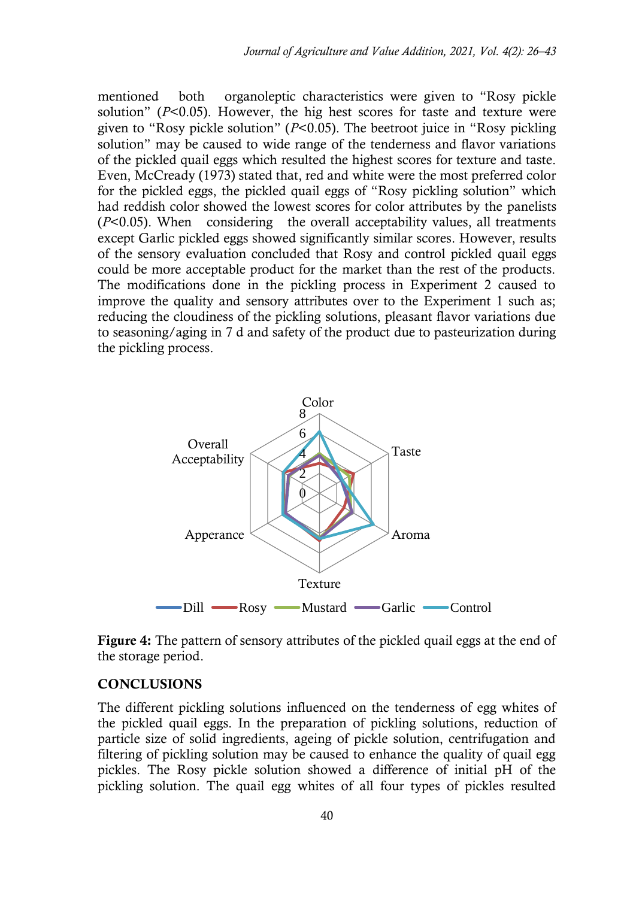mentioned both organoleptic characteristics were given to "Rosy pickle solution" (*P*<0.05). However, the hig hest scores for taste and texture were given to "Rosy pickle solution" (*P*<0.05). The beetroot juice in "Rosy pickling solution" may be caused to wide range of the tenderness and flavor variations of the pickled quail eggs which resulted the highest scores for texture and taste. Even, McCready (1973) stated that, red and white were the most preferred color for the pickled eggs, the pickled quail eggs of "Rosy pickling solution" which had reddish color showed the lowest scores for color attributes by the panelists (*P*<0.05). When considering the overall acceptability values, all treatments except Garlic pickled eggs showed significantly similar scores. However, results of the sensory evaluation concluded that Rosy and control pickled quail eggs could be more acceptable product for the market than the rest of the products. The modifications done in the pickling process in Experiment 2 caused to improve the quality and sensory attributes over to the Experiment 1 such as; reducing the cloudiness of the pickling solutions, pleasant flavor variations due to seasoning/aging in 7 d and safety of the product due to pasteurization during the pickling process.



**Figure 4:** The pattern of sensory attributes of the pickled quail eggs at the end of the storage period.

#### **CONCLUSIONS**

The different pickling solutions influenced on the tenderness of egg whites of the pickled quail eggs. In the preparation of pickling solutions, reduction of particle size of solid ingredients, ageing of pickle solution, centrifugation and filtering of pickling solution may be caused to enhance the quality of quail egg pickles. The Rosy pickle solution showed a difference of initial pH of the pickling solution. The quail egg whites of all four types of pickles resulted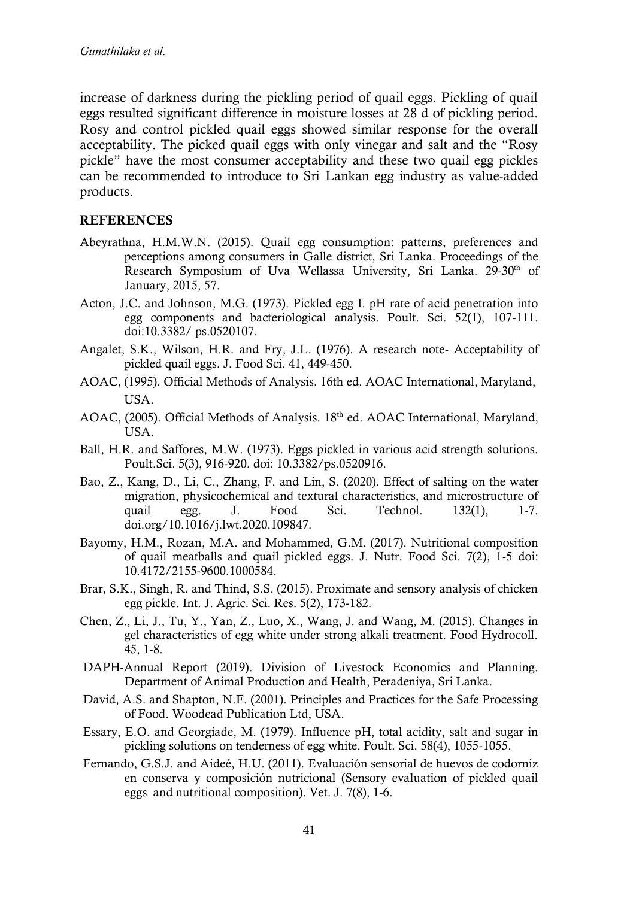increase of darkness during the pickling period of quail eggs. Pickling of quail eggs resulted significant difference in moisture losses at 28 d of pickling period. Rosy and control pickled quail eggs showed similar response for the overall acceptability. The picked quail eggs with only vinegar and salt and the "Rosy pickle" have the most consumer acceptability and these two quail egg pickles can be recommended to introduce to Sri Lankan egg industry as value-added products.

#### **REFERENCES**

- Abeyrathna, H.M.W.N. (2015). Quail egg consumption: patterns, preferences and perceptions among consumers in Galle district, Sri Lanka. Proceedings of the Research Symposium of Uva Wellassa University, Sri Lanka. 29-30<sup>th</sup> of January, 2015, 57.
- Acton, J.C. and Johnson, M.G. (1973). Pickled egg I. pH rate of acid penetration into egg components and bacteriological analysis. Poult. Sci. 52(1), 107-111. doi:10.3382/ ps.0520107.
- Angalet, S.K., Wilson, H.R. and Fry, J.L. (1976). A research note- Acceptability of pickled quail eggs. J. Food Sci. 41, 449-450.
- AOAC, (1995). Official Methods of Analysis. 16th ed. AOAC International, Maryland, USA.
- AOAC, (2005). Official Methods of Analysis. 18<sup>th</sup> ed. AOAC International, Maryland, USA.
- Ball, H.R. and Saffores, M.W. (1973). Eggs pickled in various acid strength solutions. Poult.Sci. 5(3), 916-920. doi: 10.3382/ps.0520916.
- Bao, Z., Kang, D., Li, C., Zhang, F. and Lin, S. (2020). Effect of salting on the water migration, physicochemical and textural characteristics, and microstructure of quail egg. J. Food Sci. Technol. 132(1), 1-7. doi.org/10.1016/j.lwt.2020.109847.
- Bayomy, H.M., Rozan, M.A. and Mohammed, G.M. (2017). Nutritional composition of quail meatballs and quail pickled eggs. J. Nutr. Food Sci. 7(2), 1-5 doi: 10.4172/2155-9600.1000584.
- Brar, S.K., Singh, R. and Thind, S.S. (2015). Proximate and sensory analysis of chicken egg pickle. Int. J. Agric. Sci. Res. 5(2), 173-182.
- Chen, Z., Li, J., Tu, Y., Yan, Z., Luo, X., Wang, J. and Wang, M. (2015). Changes in gel characteristics of egg white under strong alkali treatment. Food Hydrocoll. 45, 1-8.
- DAPH-Annual Report (2019). Division of Livestock Economics and Planning. Department of Animal Production and Health, Peradeniya, Sri Lanka.
- David, A.S. and Shapton, N.F. (2001). Principles and Practices for the Safe Processing of Food. Woodead Publication Ltd, USA.
- Essary, E.O. and Georgiade, M. (1979). Influence pH, total acidity, salt and sugar in pickling solutions on tenderness of egg white. Poult. Sci. 58(4), 1055-1055.
- Fernando, G.S.J. and Aideé, H.U. (2011). Evaluación sensorial de huevos de codorniz en conserva y composición nutricional (Sensory evaluation of pickled quail eggs and nutritional composition). Vet. J. 7(8), 1-6.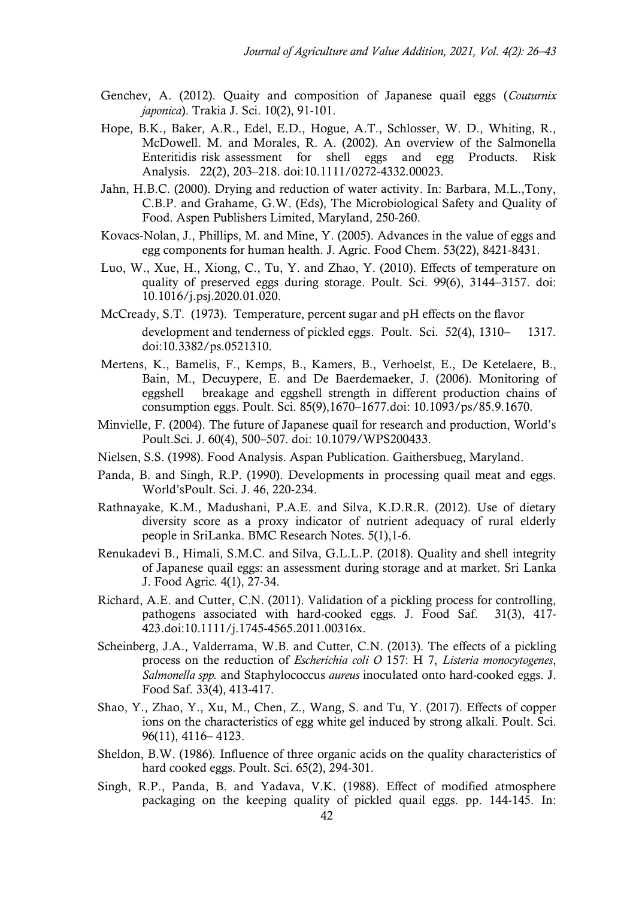- Genchev, A. (2012). Quaity and composition of Japanese quail eggs (*Couturnix japonica*). Trakia J. Sci. 10(2), 91-101.
- Hope, B.K., Baker, A.R., Edel, E.D., Hogue, A.T., Schlosser, W. D., Whiting, R., McDowell. M. and Morales, R. A. (2002). An overview of the Salmonella Enteritidis risk assessment for shell eggs and egg Products. Risk Analysis. 22(2), 203–218. doi:10.1111/0272-4332.00023.
- Jahn, H.B.C. (2000). Drying and reduction of water activity. In: Barbara, M.L.,Tony, C.B.P. and Grahame, G.W. (Eds), The Microbiological Safety and Quality of Food. Aspen Publishers Limited, Maryland, 250-260.
- Kovacs-Nolan, J., Phillips, M. and Mine, Y. (2005). Advances in the value of eggs and egg components for human health. J. Agric. Food Chem. 53(22), 8421-8431.
- Luo, W., Xue, H., Xiong, C., Tu, Y. and Zhao, Y. (2010). Effects of temperature on quality of preserved eggs during storage. Poult. Sci. 99(6), 3144–3157. doi: 10.1016/j.psj.2020.01.020.
- McCready, S.T. (1973). Temperature, percent sugar and pH effects on the flavor development and tenderness of pickled eggs. Poult. Sci. 52(4), 1310– 1317. doi:10.3382/ps.0521310.
- Mertens, K., Bamelis, F., Kemps, B., Kamers, B., Verhoelst, E., De Ketelaere, B., Bain, M., Decuypere, E. and De Baerdemaeker, J. (2006). Monitoring of eggshell breakage and eggshell strength in different production chains of consumption eggs. Poult. Sci. 85(9),1670–1677.doi: 10.1093/ps/85.9.1670.
- Minvielle, F. (2004). The future of Japanese quail for research and production, World's Poult.Sci. J. 60(4), 500–507. doi: 10.1079/WPS200433.
- Nielsen, S.S. (1998). Food Analysis. Aspan Publication. Gaithersbueg, Maryland.
- Panda, B. and Singh, R.P. (1990). Developments in processing quail meat and eggs. World'sPoult. Sci. J. 46, 220-234.
- Rathnayake, K.M., Madushani, P.A.E. and Silva, K.D.R.R. (2012). Use of dietary diversity score as a proxy indicator of nutrient adequacy of rural elderly people in SriLanka. BMC Research Notes. 5(1),1-6.
- Renukadevi B., Himali, S.M.C. and Silva, G.L.L.P. (2018). Quality and shell integrity of Japanese quail eggs: an assessment during storage and at market. Sri Lanka J. Food Agric. 4(1), 27-34.
- Richard, A.E. and Cutter, C.N. (2011). Validation of a pickling process for controlling, pathogens associated with hard-cooked eggs. J. Food Saf. 31(3), 417- 423.doi:10.1111/j.1745-4565.2011.00316x.
- Scheinberg, J.A., Valderrama, W.B. and Cutter, C.N. (2013). The effects of a pickling process on the reduction of *Escherichia coli O* 157: H 7, *Listeria monocytogenes*, *Salmonella spp.* and Staphylococcus *aureus* inoculated onto hard-cooked eggs. J. Food Saf. 33(4), 413-417.
- Shao, Y., Zhao, Y., Xu, M., Chen, Z., Wang, S. and Tu, Y. (2017). Effects of copper ions on the characteristics of egg white gel induced by strong alkali. Poult. Sci. 96(11), 4116– 4123.
- Sheldon, B.W. (1986). Influence of three organic acids on the quality characteristics of hard cooked eggs. Poult. Sci. 65(2), 294-301.
- Singh, R.P., Panda, B. and Yadava, V.K. (1988). Effect of modified atmosphere packaging on the keeping quality of pickled quail eggs. pp. 144-145. In: